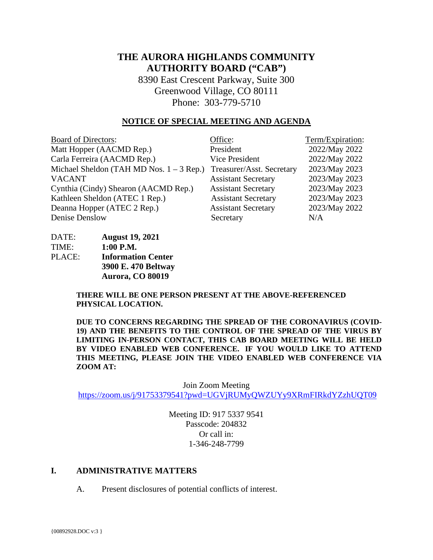# **THE AURORA HIGHLANDS COMMUNITY AUTHORITY BOARD ("CAB")**

8390 East Crescent Parkway, Suite 300 Greenwood Village, CO 80111 Phone: 303-779-5710

#### **NOTICE OF SPECIAL MEETING AND AGENDA**

| <b>Board of Directors:</b>                 | Office:                    | Term/Expiration: |
|--------------------------------------------|----------------------------|------------------|
| Matt Hopper (AACMD Rep.)                   | President                  | 2022/May 2022    |
| Carla Ferreira (AACMD Rep.)                | <b>Vice President</b>      | 2022/May 2022    |
| Michael Sheldon (TAH MD Nos. $1 - 3$ Rep.) | Treasurer/Asst. Secretary  | 2023/May 2023    |
| <b>VACANT</b>                              | <b>Assistant Secretary</b> | 2023/May 2023    |
| Cynthia (Cindy) Shearon (AACMD Rep.)       | <b>Assistant Secretary</b> | 2023/May 2023    |
| Kathleen Sheldon (ATEC 1 Rep.)             | <b>Assistant Secretary</b> | 2023/May 2023    |
| Deanna Hopper (ATEC 2 Rep.)                | <b>Assistant Secretary</b> | 2023/May 2022    |
| Denise Denslow                             | Secretary                  | N/A              |

| DATE:  | <b>August 19, 2021</b>    |
|--------|---------------------------|
| TIME:  | $1:00$ P.M.               |
| PLACE: | <b>Information Center</b> |
|        | 3900 E. 470 Beltway       |
|        | Aurora, CO 80019          |

**THERE WILL BE ONE PERSON PRESENT AT THE ABOVE-REFERENCED PHYSICAL LOCATION.**

**DUE TO CONCERNS REGARDING THE SPREAD OF THE CORONAVIRUS (COVID-19) AND THE BENEFITS TO THE CONTROL OF THE SPREAD OF THE VIRUS BY LIMITING IN-PERSON CONTACT, THIS CAB BOARD MEETING WILL BE HELD BY VIDEO ENABLED WEB CONFERENCE. IF YOU WOULD LIKE TO ATTEND THIS MEETING, PLEASE JOIN THE VIDEO ENABLED WEB CONFERENCE VIA ZOOM AT:**

Join Zoom Meeting <https://zoom.us/j/91753379541?pwd=UGVjRUMyQWZUYy9XRmFIRkdYZzhUQT09>

> Meeting ID: 917 5337 9541 Passcode: 204832 Or call in: 1-346-248-7799

### **I. ADMINISTRATIVE MATTERS**

A. Present disclosures of potential conflicts of interest.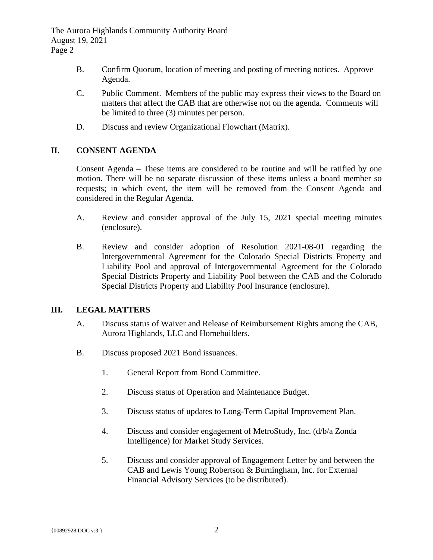The Aurora Highlands Community Authority Board August 19, 2021 Page 2

- B. Confirm Quorum, location of meeting and posting of meeting notices. Approve Agenda.
- C. Public Comment. Members of the public may express their views to the Board on matters that affect the CAB that are otherwise not on the agenda. Comments will be limited to three (3) minutes per person.
- D. Discuss and review Organizational Flowchart (Matrix).

## **II. CONSENT AGENDA**

Consent Agenda – These items are considered to be routine and will be ratified by one motion. There will be no separate discussion of these items unless a board member so requests; in which event, the item will be removed from the Consent Agenda and considered in the Regular Agenda.

- A. Review and consider approval of the July 15, 2021 special meeting minutes (enclosure).
- B. Review and consider adoption of Resolution 2021-08-01 regarding the Intergovernmental Agreement for the Colorado Special Districts Property and Liability Pool and approval of Intergovernmental Agreement for the Colorado Special Districts Property and Liability Pool between the CAB and the Colorado Special Districts Property and Liability Pool Insurance (enclosure).

## **III. LEGAL MATTERS**

- A. Discuss status of Waiver and Release of Reimbursement Rights among the CAB, Aurora Highlands, LLC and Homebuilders.
- B. Discuss proposed 2021 Bond issuances.
	- 1. General Report from Bond Committee.
	- 2. Discuss status of Operation and Maintenance Budget.
	- 3. Discuss status of updates to Long-Term Capital Improvement Plan.
	- 4. Discuss and consider engagement of MetroStudy, Inc. (d/b/a Zonda Intelligence) for Market Study Services.
	- 5. Discuss and consider approval of Engagement Letter by and between the CAB and Lewis Young Robertson & Burningham, Inc. for External Financial Advisory Services (to be distributed).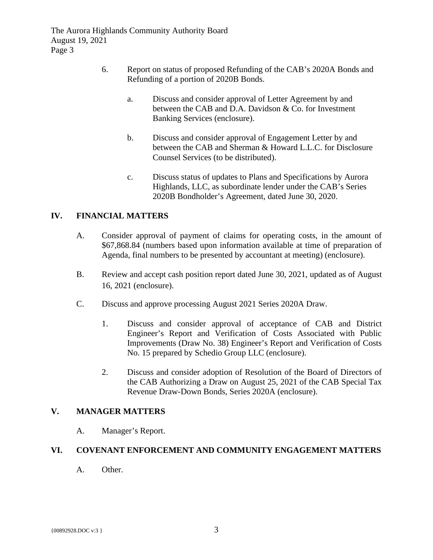The Aurora Highlands Community Authority Board August 19, 2021 Page 3

- 6. Report on status of proposed Refunding of the CAB's 2020A Bonds and Refunding of a portion of 2020B Bonds.
	- a. Discuss and consider approval of Letter Agreement by and between the CAB and D.A. Davidson & Co. for Investment Banking Services (enclosure).
	- b. Discuss and consider approval of Engagement Letter by and between the CAB and Sherman & Howard L.L.C. for Disclosure Counsel Services (to be distributed).
	- c. Discuss status of updates to Plans and Specifications by Aurora Highlands, LLC, as subordinate lender under the CAB's Series 2020B Bondholder's Agreement, dated June 30, 2020.

## **IV. FINANCIAL MATTERS**

- A. Consider approval of payment of claims for operating costs, in the amount of \$67,868.84 (numbers based upon information available at time of preparation of Agenda, final numbers to be presented by accountant at meeting) (enclosure).
- B. Review and accept cash position report dated June 30, 2021, updated as of August 16, 2021 (enclosure).
- C. Discuss and approve processing August 2021 Series 2020A Draw.
	- 1. Discuss and consider approval of acceptance of CAB and District Engineer's Report and Verification of Costs Associated with Public Improvements (Draw No. 38) Engineer's Report and Verification of Costs No. 15 prepared by Schedio Group LLC (enclosure).
	- 2. Discuss and consider adoption of Resolution of the Board of Directors of the CAB Authorizing a Draw on August 25, 2021 of the CAB Special Tax Revenue Draw-Down Bonds, Series 2020A (enclosure).

### **V. MANAGER MATTERS**

A. Manager's Report.

## **VI. COVENANT ENFORCEMENT AND COMMUNITY ENGAGEMENT MATTERS**

A. Other.